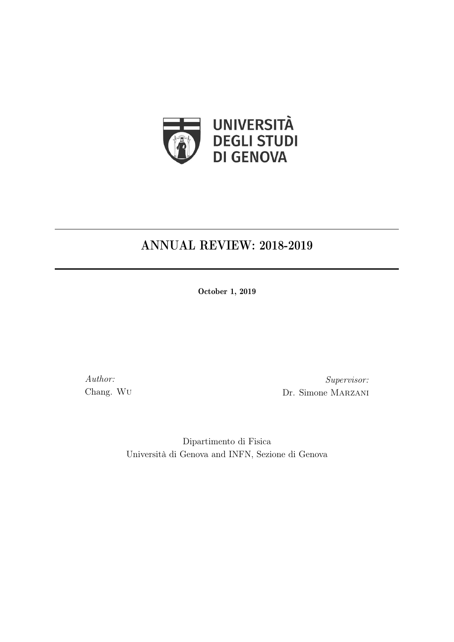

# ANNUAL REVIEW: 2018-2019

October 1, 2019

Author: Chang. Wu

Supervisor: Dr. Simone Marzani

Dipartimento di Fisica Università di Genova and INFN, Sezione di Genova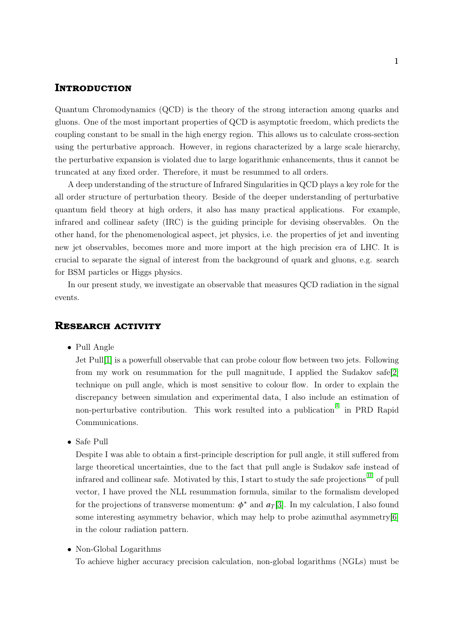### **Introduction**

Quantum Chromodynamics (QCD) is the theory of the strong interaction among quarks and gluons. One of the most important properties of QCD is asymptotic freedom, which predicts the coupling constant to be small in the high energy region. This allows us to calculate cross-section using the perturbative approach. However, in regions characterized by a large scale hierarchy, the perturbative expansion is violated due to large logarithmic enhancements, thus it cannot be truncated at any fixed order. Therefore, it must be resummed to all orders.

A deep understanding of the structure of Infrared Singularities in QCD plays a key role for the all order structure of perturbation theory. Beside of the deeper understanding of perturbative quantum field theory at high orders, it also has many practical applications. For example, infrared and collinear safety (IRC) is the guiding principle for devising observables. On the other hand, for the phenomenological aspect, jet physics, i.e. the properties of jet and inventing new jet observables, becomes more and more import at the high precision era of LHC. It is crucial to separate the signal of interest from the background of quark and gluons, e.g. search for BSM particles or Higgs physics.

In our present study, we investigate an observable that measures QCD radiation in the signal events.

#### **Research activity**

• Pull Angle

Jet Pull[\[1\]](#page-2-0) is a powerfull observable that can probe colour flow between two jets. Following from my work on resummation for the pull magnitude, I applied the Sudakov safe[\[2\]](#page-2-1) technique on pull angle, which is most sensitive to colour flow. In order to explain the discrepancy between simulation and experimental data, I also include an estimation of non-perturbative contribution. This work resulted into a publication  $\left[1\right]$  in PRD Rapid Communications.

• Safe Pull

Despite I was able to obtain a first-principle description for pull angle, it still suffered from large theoretical uncertainties, due to the fact that pull angle is Sudakov safe instead of infrared and collinear safe. Motivated by this, I start to study the safe projections<sup>[\[II\]](#page-2-3)</sup> of pull vector, I have proved the NLL resummation formula, similar to the formalism developed for the projections of transverse momentum:  $\phi^*$  and  $a_T[3]$  $a_T[3]$ . In my calculation, I also found some interesting asymmetry behavior, which may help to probe azimuthal asymmetry[\[6\]](#page-2-5) in the colour radiation pattern.

• Non-Global Logarithms

To achieve higher accuracy precision calculation, non-global logarithms (NGLs) must be